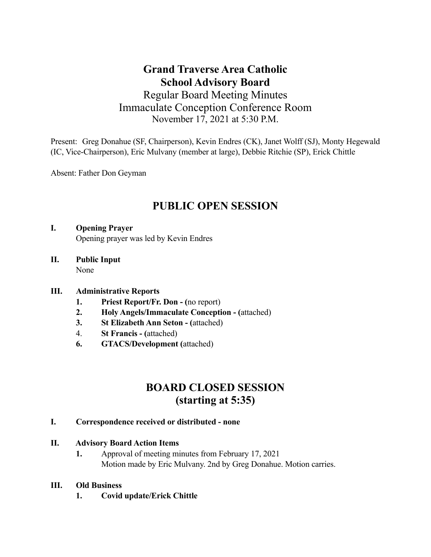## **Grand Traverse Area Catholic School Advisory Board** Regular Board Meeting Minutes Immaculate Conception Conference Room November 17, 2021 at 5:30 P.M.

Present: Greg Donahue (SF, Chairperson), Kevin Endres (CK), Janet Wolff (SJ), Monty Hegewald (IC, Vice-Chairperson), Eric Mulvany (member at large), Debbie Ritchie (SP), Erick Chittle

Absent: Father Don Geyman

# **PUBLIC OPEN SESSION**

## **I. Opening Prayer** Opening prayer was led by Kevin Endres

**II. Public Input** None

## **III. Administrative Reports**

- **1. Priest Report/Fr. Don (**no report)
- **2. Holy Angels/Immaculate Conception (**attached)
- **3. St Elizabeth Ann Seton (**attached)
- 4. **St Francis (**attached)
- **6. GTACS/Development (**attached)

# **BOARD CLOSED SESSION (starting at 5:35)**

#### **I. Correspondence received or distributed - none**

## **II. Advisory Board Action Items**

 **1.** Approval of meeting minutes from February 17, 2021 Motion made by Eric Mulvany. 2nd by Greg Donahue. Motion carries.

## **III. Old Business**

 **1. Covid update/Erick Chittle**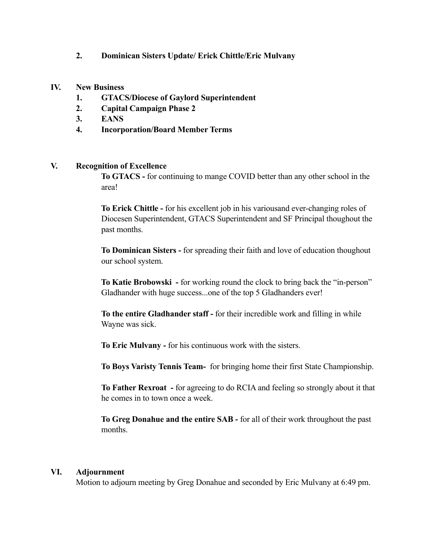#### **2. Dominican Sisters Update/ Erick Chittle/Eric Mulvany**

#### **IV. New Business**

- **1. GTACS/Diocese of Gaylord Superintendent**
- **2. Capital Campaign Phase 2**
- **3. EANS**
- **4. Incorporation/Board Member Terms**

#### **V. Recognition of Excellence**

 **To GTACS -** for continuing to mange COVID better than any other school in the area!

 **To Erick Chittle -** for his excellent job in his variousand ever-changing roles of Diocesen Superintendent, GTACS Superintendent and SF Principal thoughout the past months.

 **To Dominican Sisters -** for spreading their faith and love of education thoughout our school system.

 **To Katie Brobowski -** for working round the clock to bring back the "in-person" Gladhander with huge success...one of the top 5 Gladhanders ever!

 **To the entire Gladhander staff -** for their incredible work and filling in while Wayne was sick.

 **To Eric Mulvany -** for his continuous work with the sisters.

 **To Boys Varisty Tennis Team-** for bringing home their first State Championship.

 **To Father Rexroat -** for agreeing to do RCIA and feeling so strongly about it that he comes in to town once a week.

 **To Greg Donahue and the entire SAB -** for all of their work throughout the past months.

#### **VI. Adjournment**

Motion to adjourn meeting by Greg Donahue and seconded by Eric Mulvany at 6:49 pm.